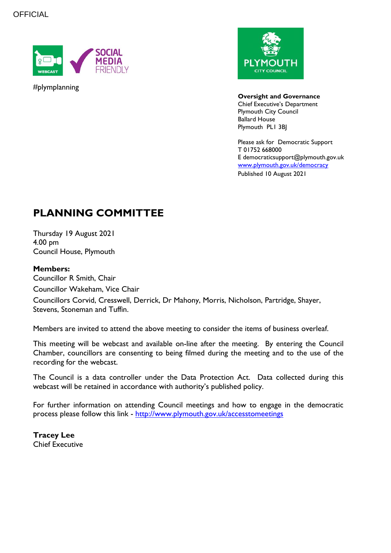

#plymplanning



**Oversight and Governance** Chief Executive's Department Plymouth City Council Ballard House Plymouth PL1 3BJ

Please ask for Democratic Support T 01752 668000 E democraticsupport@plymouth.gov.uk [www.plymouth.gov.uk/](http://www.plymouth.gov.uk/)democracy Published 10 August 2021

# **PLANNING COMMITTEE**

Thursday 19 August 2021 4.00 pm Council House, Plymouth

### **Members:**

Councillor R Smith, Chair Councillor Wakeham, Vice Chair Councillors Corvid, Cresswell, Derrick, Dr Mahony, Morris, Nicholson, Partridge, Shayer, Stevens, Stoneman and Tuffin.

Members are invited to attend the above meeting to consider the items of business overleaf.

This meeting will be webcast and available on-line after the meeting. By entering the Council Chamber, councillors are consenting to being filmed during the meeting and to the use of the recording for the webcast.

The Council is a data controller under the Data Protection Act. Data collected during this webcast will be retained in accordance with authority's published policy.

For further information on attending Council meetings and how to engage in the democratic process please follow this link - <http://www.plymouth.gov.uk/accesstomeetings>

**Tracey Lee** Chief Executive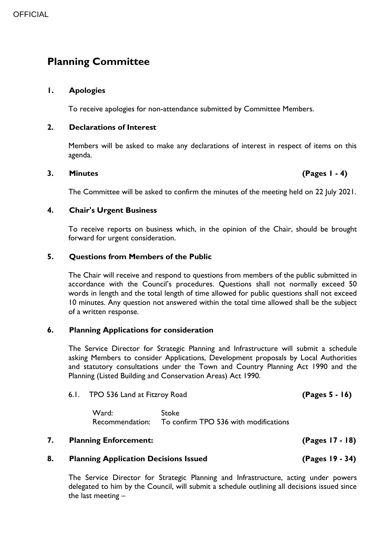## **Planning Committee**

#### **1. Apologies**

To receive apologies for non-attendance submitted by Committee Members.

#### **2. Declarations of Interest**

Members will be asked to make any declarations of interest in respect of items on this agenda.

#### **3. Minutes (Pages 1 - 4)**

The Committee will be asked to confirm the minutes of the meeting held on 22 July 2021.

#### **4. Chair's Urgent Business**

To receive reports on business which, in the opinion of the Chair, should be brought forward for urgent consideration.

#### **5. Questions from Members of the Public**

The Chair will receive and respond to questions from members of the public submitted in accordance with the Council's procedures. Questions shall not normally exceed 50 words in length and the total length of time allowed for public questions shall not exceed 10 minutes. Any question not answered within the total time allowed shall be the subject of a written response.

#### **6. Planning Applications for consideration**

The Service Director for Strategic Planning and Infrastructure will submit a schedule asking Members to consider Applications, Development proposals by Local Authorities and statutory consultations under the Town and Country Planning Act 1990 and the Planning (Listed Building and Conservation Areas) Act 1990.

#### 6.1. TPO 536 Land at Fitzroy Road **(Pages 5 - 16)**

Ward: Stoke Recommendation: To confirm TPO 536 with modifications

#### **7. Planning Enforcement: (Pages 17 - 18)**

#### **8. Planning Application Decisions Issued (Pages 19 - 34)**

The Service Director for Strategic Planning and Infrastructure, acting under powers delegated to him by the Council, will submit a schedule outlining all decisions issued since the last meeting –